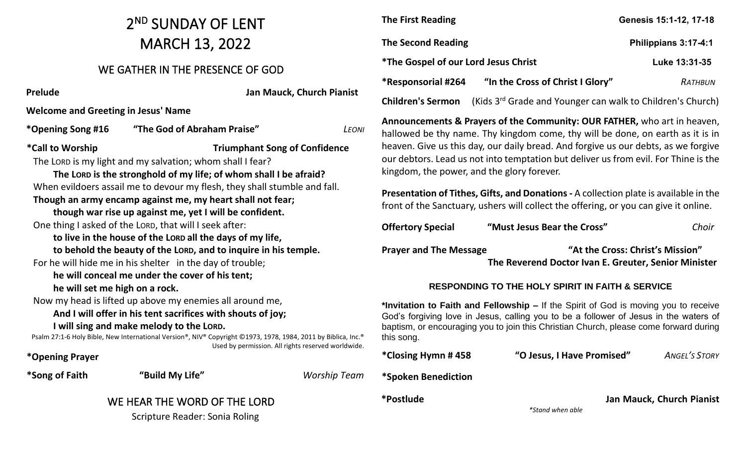### 2 ND SUNDAY OF LENT MARCH 13, 2022

#### WE GATHER IN THE PRESENCE OF GOD

**Prelude Jan Mauck, Church Pianist Welcome and Greeting in Jesus' Name \*Opening Song #16 "The God of Abraham Praise"** *LEONI* **\*Call to Worship Triumphant Song of Confidence** The LORD is my light and my salvation; whom shall I fear? **The LORD is the stronghold of my life; of whom shall I be afraid?** When evildoers assail me to devour my flesh, they shall stumble and fall. **Though an army encamp against me, my heart shall not fear; though war rise up against me, yet I will be confident.** One thing I asked of the LORD, that will I seek after: **to live in the house of the LORD all the days of my life, to behold the beauty of the LORD, and to inquire in his temple.** For he will hide me in his shelter in the day of trouble; **he will conceal me under the cover of his tent; he will set me high on a rock.** Now my head is lifted up above my enemies all around me, **And I will offer in his tent sacrifices with shouts of joy; I will sing and make melody to the LORD.** Psalm 27:1-6 Holy Bible, New International Version®, NIV® Copyright ©1973, 1978, 1984, 2011 by Biblica, Inc.® Used by permission. All rights reserved worldwide. **\*Opening Prayer \*Song of Faith "Build My Life"** *Worship Team*  WE HEAR THE WORD OF THE LORD Scripture Reader: Sonia Roling

| <b>The First Reading</b>                           |                                                                        | Genesis 15:1-12, 17-18 |
|----------------------------------------------------|------------------------------------------------------------------------|------------------------|
| <b>The Second Reading</b>                          |                                                                        | Philippians 3:17-4:1   |
| <i><b>*The Gospel of our Lord Jesus Christ</b></i> |                                                                        | Luke 13:31-35          |
| *Responsorial #264                                 | "In the Cross of Christ I Glory"                                       | RATHBUN                |
| <b>Children's Sermon</b>                           | (Kids 3 <sup>rd</sup> Grade and Younger can walk to Children's Church) |                        |
|                                                    |                                                                        |                        |

**Announcements & Prayers of the Community: OUR FATHER,** who art in heaven, hallowed be thy name. Thy kingdom come, thy will be done, on earth as it is in heaven. Give us this day, our daily bread. And forgive us our debts, as we forgive our debtors. Lead us not into temptation but deliver us from evil. For Thine is the kingdom, the power, and the glory forever.

**Presentation of Tithes, Gifts, and Donations -** A collection plate is available in the front of the Sanctuary, ushers will collect the offering, or you can give it online.

**Offertory Special "Must Jesus Bear the Cross"** *Choir*

**Prayer and The Message "At the Cross: Christ's Mission"**

 **The Reverend Doctor Ivan E. Greuter, Senior Minister** 

#### **RESPONDING TO THE HOLY SPIRIT IN FAITH & SERVICE**

**\*Invitation to Faith and Fellowship –** If the Spirit of God is moving you to receive God's forgiving love in Jesus, calling you to be a follower of Jesus in the waters of baptism, or encouraging you to join this Christian Church, please come forward during this song.

**\*Closing Hymn # 458 "O Jesus, I Have Promised"** *ANGEL'S STORY* **\*Spoken Benediction \*Postlude Jan Mauck, Church Pianist** *\*Stand when able*